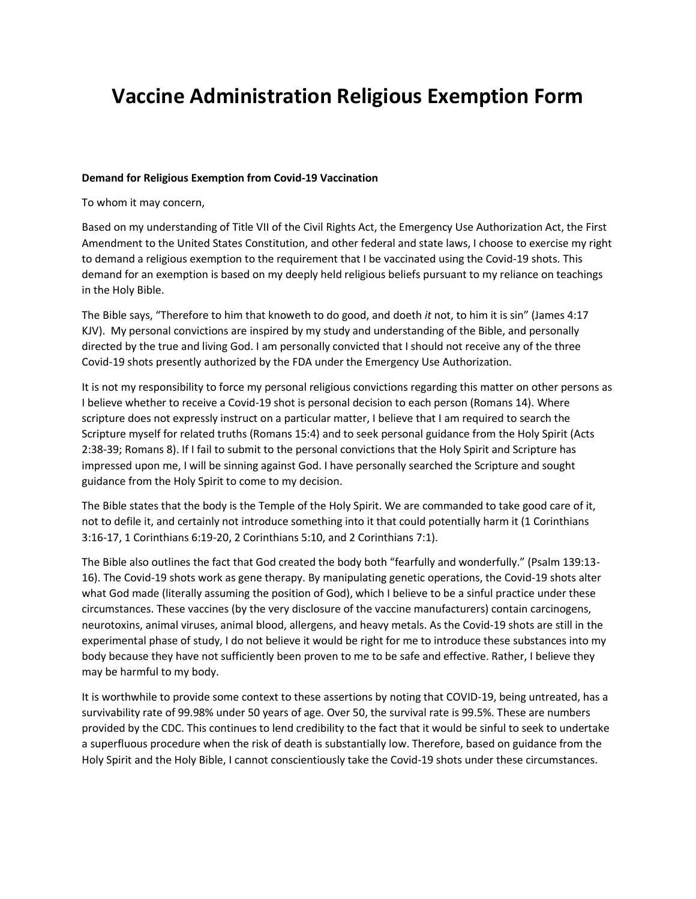## **Vaccine Administration Religious Exemption Form**

## **Demand for Religious Exemption from Covid-19 Vaccination**

To whom it may concern,

Based on my understanding of Title VII of the Civil Rights Act, the Emergency Use Authorization Act, the First Amendment to the United States Constitution, and other federal and state laws, I choose to exercise my right to demand a religious exemption to the requirement that I be vaccinated using the Covid-19 shots. This demand for an exemption is based on my deeply held religious beliefs pursuant to my reliance on teachings in the Holy Bible.

The Bible says, "Therefore to him that knoweth to do good, and doeth *it* not, to him it is sin" (James 4:17 KJV). My personal convictions are inspired by my study and understanding of the Bible, and personally directed by the true and living God. I am personally convicted that I should not receive any of the three Covid-19 shots presently authorized by the FDA under the Emergency Use Authorization.

It is not my responsibility to force my personal religious convictions regarding this matter on other persons as I believe whether to receive a Covid-19 shot is personal decision to each person (Romans 14). Where scripture does not expressly instruct on a particular matter, I believe that I am required to search the Scripture myself for related truths (Romans 15:4) and to seek personal guidance from the Holy Spirit (Acts 2:38-39; Romans 8). If I fail to submit to the personal convictions that the Holy Spirit and Scripture has impressed upon me, I will be sinning against God. I have personally searched the Scripture and sought guidance from the Holy Spirit to come to my decision.

The Bible states that the body is the Temple of the Holy Spirit. We are commanded to take good care of it, not to defile it, and certainly not introduce something into it that could potentially harm it (1 Corinthians 3:16-17, 1 Corinthians 6:19-20, 2 Corinthians 5:10, and 2 Corinthians 7:1).

The Bible also outlines the fact that God created the body both "fearfully and wonderfully." (Psalm 139:13- 16). The Covid-19 shots work as gene therapy. By manipulating genetic operations, the Covid-19 shots alter what God made (literally assuming the position of God), which I believe to be a sinful practice under these circumstances. These vaccines (by the very disclosure of the vaccine manufacturers) contain carcinogens, neurotoxins, animal viruses, animal blood, allergens, and heavy metals. As the Covid-19 shots are still in the experimental phase of study, I do not believe it would be right for me to introduce these substances into my body because they have not sufficiently been proven to me to be safe and effective. Rather, I believe they may be harmful to my body.

It is worthwhile to provide some context to these assertions by noting that COVID-19, being untreated, has a survivability rate of 99.98% under 50 years of age. Over 50, the survival rate is 99.5%. These are numbers provided by the CDC. This continues to lend credibility to the fact that it would be sinful to seek to undertake a superfluous procedure when the risk of death is substantially low. Therefore, based on guidance from the Holy Spirit and the Holy Bible, I cannot conscientiously take the Covid-19 shots under these circumstances.